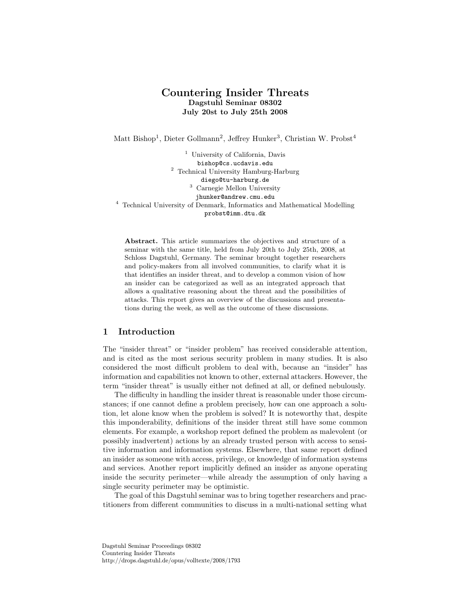# Countering Insider Threats Dagstuhl Seminar 08302 July 20st to July 25th 2008

Matt Bishop<sup>1</sup>, Dieter Gollmann<sup>2</sup>, Jeffrey Hunker<sup>3</sup>, Christian W. Probst<sup>4</sup>

<sup>1</sup> University of California, Davis bishop@cs.ucdavis.edu <sup>2</sup> Technical University Hamburg-Harburg diego@tu-harburg.de <sup>3</sup> Carnegie Mellon University jhunker@andrew.cmu.edu <sup>4</sup> Technical University of Denmark, Informatics and Mathematical Modelling probst@imm.dtu.dk

Abstract. This article summarizes the objectives and structure of a seminar with the same title, held from July 20th to July 25th, 2008, at Schloss Dagstuhl, Germany. The seminar brought together researchers and policy-makers from all involved communities, to clarify what it is that identifies an insider threat, and to develop a common vision of how an insider can be categorized as well as an integrated approach that allows a qualitative reasoning about the threat and the possibilities of attacks. This report gives an overview of the discussions and presentations during the week, as well as the outcome of these discussions.

### 1 Introduction

The "insider threat" or "insider problem" has received considerable attention, and is cited as the most serious security problem in many studies. It is also considered the most difficult problem to deal with, because an "insider" has information and capabilities not known to other, external attackers. However, the term "insider threat" is usually either not defined at all, or defined nebulously.

The difficulty in handling the insider threat is reasonable under those circumstances; if one cannot define a problem precisely, how can one approach a solution, let alone know when the problem is solved? It is noteworthy that, despite this imponderability, definitions of the insider threat still have some common elements. For example, a workshop report defined the problem as malevolent (or possibly inadvertent) actions by an already trusted person with access to sensitive information and information systems. Elsewhere, that same report defined an insider as someone with access, privilege, or knowledge of information systems and services. Another report implicitly defined an insider as anyone operating inside the security perimeter—while already the assumption of only having a single security perimeter may be optimistic.

The goal of this Dagstuhl seminar was to bring together researchers and practitioners from different communities to discuss in a multi-national setting what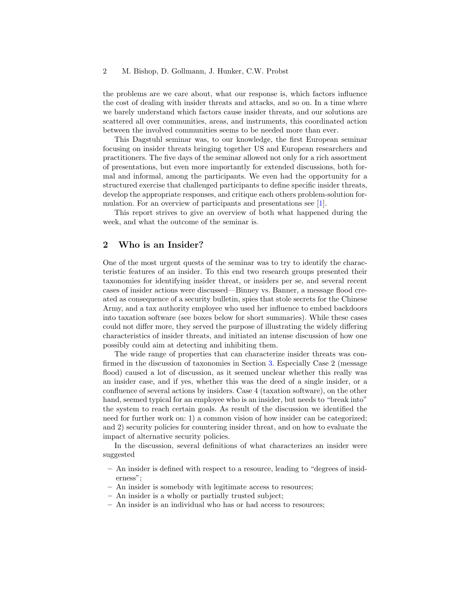the problems are we care about, what our response is, which factors influence the cost of dealing with insider threats and attacks, and so on. In a time where we barely understand which factors cause insider threats, and our solutions are scattered all over communities, areas, and instruments, this coordinated action between the involved communities seems to be needed more than ever.

This Dagstuhl seminar was, to our knowledge, the first European seminar focusing on insider threats bringing together US and European researchers and practitioners. The five days of the seminar allowed not only for a rich assortment of presentations, but even more importantly for extended discussions, both formal and informal, among the participants. We even had the opportunity for a structured exercise that challenged participants to define specific insider threats, develop the appropriate responses, and critique each others problem-solution formulation. For an overview of participants and presentations see [\[1\]](#page-17-0).

This report strives to give an overview of both what happened during the week, and what the outcome of the seminar is.

# 2 Who is an Insider?

One of the most urgent quests of the seminar was to try to identify the characteristic features of an insider. To this end two research groups presented their taxonomies for identifying insider threat, or insiders per se, and several recent cases of insider actions were discussed—Binney vs. Banner, a message flood created as consequence of a security bulletin, spies that stole secrets for the Chinese Army, and a tax authority employee who used her influence to embed backdoors into taxation software (see boxes below for short summaries). While these cases could not differ more, they served the purpose of illustrating the widely differing characteristics of insider threats, and initiated an intense discussion of how one possibly could aim at detecting and inhibiting them.

The wide range of properties that can characterize insider threats was confirmed in the discussion of taxonomies in Section [3.](#page-5-0) Especially Case 2 (message flood) caused a lot of discussion, as it seemed unclear whether this really was an insider case, and if yes, whether this was the deed of a single insider, or a confluence of several actions by insiders. Case 4 (taxation software), on the other hand, seemed typical for an employee who is an insider, but needs to "break into" the system to reach certain goals. As result of the discussion we identified the need for further work on: 1) a common vision of how insider can be categorized; and 2) security policies for countering insider threat, and on how to evaluate the impact of alternative security policies.

In the discussion, several definitions of what characterizes an insider were suggested

- An insider is defined with respect to a resource, leading to "degrees of insiderness";
- An insider is somebody with legitimate access to resources;
- An insider is a wholly or partially trusted subject;
- An insider is an individual who has or had access to resources;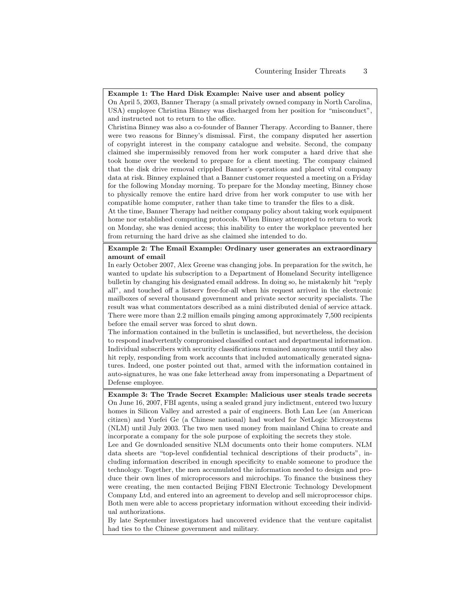### Example 1: The Hard Disk Example: Naive user and absent policy

On April 5, 2003, Banner Therapy (a small privately owned company in North Carolina, USA) employee Christina Binney was discharged from her position for "misconduct", and instructed not to return to the office.

Christina Binney was also a co-founder of Banner Therapy. According to Banner, there were two reasons for Binney's dismissal. First, the company disputed her assertion of copyright interest in the company catalogue and website. Second, the company claimed she impermissibly removed from her work computer a hard drive that she took home over the weekend to prepare for a client meeting. The company claimed that the disk drive removal crippled Banner's operations and placed vital company data at risk. Binney explained that a Banner customer requested a meeting on a Friday for the following Monday morning. To prepare for the Monday meeting, Binney chose to physically remove the entire hard drive from her work computer to use with her compatible home computer, rather than take time to transfer the files to a disk.

At the time, Banner Therapy had neither company policy about taking work equipment home nor established computing protocols. When Binney attempted to return to work on Monday, she was denied access; this inability to enter the workplace prevented her from returning the hard drive as she claimed she intended to do.

### Example 2: The Email Example: Ordinary user generates an extraordinary amount of email

In early October 2007, Alex Greene was changing jobs. In preparation for the switch, he wanted to update his subscription to a Department of Homeland Security intelligence bulletin by changing his designated email address. In doing so, he mistakenly hit "reply all", and touched off a listserv free-for-all when his request arrived in the electronic mailboxes of several thousand government and private sector security specialists. The result was what commentators described as a mini distributed denial of service attack. There were more than 2.2 million emails pinging among approximately 7,500 recipients before the email server was forced to shut down.

The information contained in the bulletin is unclassified, but nevertheless, the decision to respond inadvertently compromised classified contact and departmental information. Individual subscribers with security classifications remained anonymous until they also hit reply, responding from work accounts that included automatically generated signatures. Indeed, one poster pointed out that, armed with the information contained in auto-signatures, he was one fake letterhead away from impersonating a Department of Defense employee.

Example 3: The Trade Secret Example: Malicious user steals trade secrets On June 16, 2007, FBI agents, using a sealed grand jury indictment, entered two luxury homes in Silicon Valley and arrested a pair of engineers. Both Lan Lee (an American citizen) and Yuefei Ge (a Chinese national) had worked for NetLogic Microsystems (NLM) until July 2003. The two men used money from mainland China to create and incorporate a company for the sole purpose of exploiting the secrets they stole.

Lee and Ge downloaded sensitive NLM documents onto their home computers. NLM data sheets are "top-level confidential technical descriptions of their products", including information described in enough specificity to enable someone to produce the technology. Together, the men accumulated the information needed to design and produce their own lines of microprocessors and microchips. To finance the business they were creating, the men contacted Beijing FBNI Electronic Technology Development Company Ltd, and entered into an agreement to develop and sell microprocessor chips. Both men were able to access proprietary information without exceeding their individual authorizations.

By late September investigators had uncovered evidence that the venture capitalist had ties to the Chinese government and military.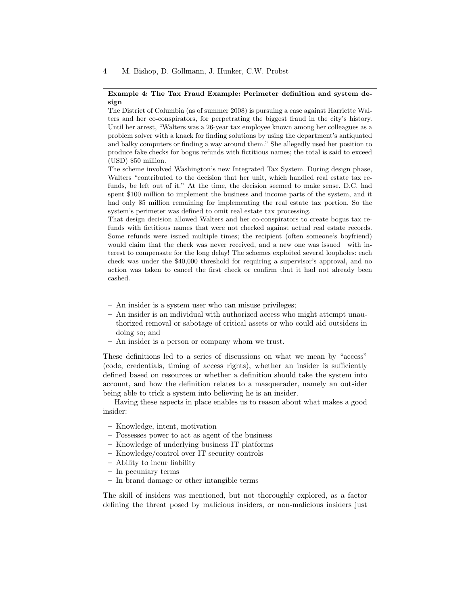### Example 4: The Tax Fraud Example: Perimeter definition and system design

The District of Columbia (as of summer 2008) is pursuing a case against Harriette Walters and her co-conspirators, for perpetrating the biggest fraud in the city's history. Until her arrest, "Walters was a 26-year tax employee known among her colleagues as a problem solver with a knack for finding solutions by using the department's antiquated and balky computers or finding a way around them." She allegedly used her position to produce fake checks for bogus refunds with fictitious names; the total is said to exceed (USD) \$50 million.

The scheme involved Washington's new Integrated Tax System. During design phase, Walters "contributed to the decision that her unit, which handled real estate tax refunds, be left out of it." At the time, the decision seemed to make sense. D.C. had spent \$100 million to implement the business and income parts of the system, and it had only \$5 million remaining for implementing the real estate tax portion. So the system's perimeter was defined to omit real estate tax processing.

That design decision allowed Walters and her co-conspirators to create bogus tax refunds with fictitious names that were not checked against actual real estate records. Some refunds were issued multiple times; the recipient (often someone's boyfriend) would claim that the check was never received, and a new one was issued—with interest to compensate for the long delay! The schemes exploited several loopholes: each check was under the \$40,000 threshold for requiring a supervisor's approval, and no action was taken to cancel the first check or confirm that it had not already been cashed.

- An insider is a system user who can misuse privileges;
- An insider is an individual with authorized access who might attempt unauthorized removal or sabotage of critical assets or who could aid outsiders in doing so; and
- An insider is a person or company whom we trust.

These definitions led to a series of discussions on what we mean by "access" (code, credentials, timing of access rights), whether an insider is sufficiently defined based on resources or whether a definition should take the system into account, and how the definition relates to a masquerader, namely an outsider being able to trick a system into believing he is an insider.

Having these aspects in place enables us to reason about what makes a good insider:

- Knowledge, intent, motivation
- Possesses power to act as agent of the business
- Knowledge of underlying business IT platforms
- Knowledge/control over IT security controls
- Ability to incur liability
- In pecuniary terms
- In brand damage or other intangible terms

The skill of insiders was mentioned, but not thoroughly explored, as a factor defining the threat posed by malicious insiders, or non-malicious insiders just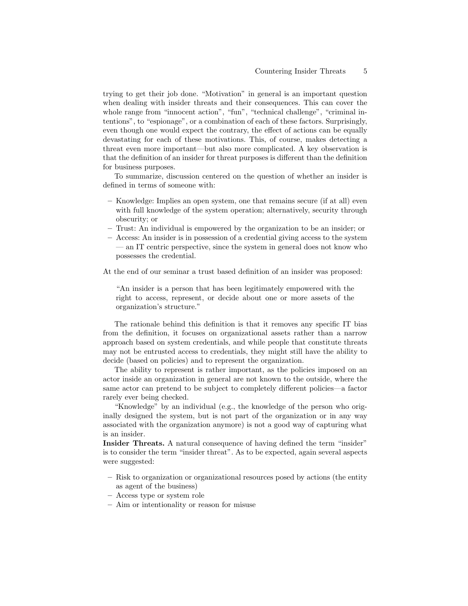trying to get their job done. "Motivation" in general is an important question when dealing with insider threats and their consequences. This can cover the whole range from "innocent action", "fun", "technical challenge", "criminal intentions", to "espionage", or a combination of each of these factors. Surprisingly, even though one would expect the contrary, the effect of actions can be equally devastating for each of these motivations. This, of course, makes detecting a threat even more important—but also more complicated. A key observation is that the definition of an insider for threat purposes is different than the definition for business purposes.

To summarize, discussion centered on the question of whether an insider is defined in terms of someone with:

- Knowledge: Implies an open system, one that remains secure (if at all) even with full knowledge of the system operation; alternatively, security through obscurity; or
- Trust: An individual is empowered by the organization to be an insider; or
- Access: An insider is in possession of a credential giving access to the system — an IT centric perspective, since the system in general does not know who possesses the credential.

At the end of our seminar a trust based definition of an insider was proposed:

"An insider is a person that has been legitimately empowered with the right to access, represent, or decide about one or more assets of the organization's structure."

The rationale behind this definition is that it removes any specific IT bias from the definition, it focuses on organizational assets rather than a narrow approach based on system credentials, and while people that constitute threats may not be entrusted access to credentials, they might still have the ability to decide (based on policies) and to represent the organization.

The ability to represent is rather important, as the policies imposed on an actor inside an organization in general are not known to the outside, where the same actor can pretend to be subject to completely different policies—a factor rarely ever being checked.

"Knowledge" by an individual (e.g., the knowledge of the person who originally designed the system, but is not part of the organization or in any way associated with the organization anymore) is not a good way of capturing what is an insider.

Insider Threats. A natural consequence of having defined the term "insider" is to consider the term "insider threat". As to be expected, again several aspects were suggested:

- Risk to organization or organizational resources posed by actions (the entity as agent of the business)
- Access type or system role
- Aim or intentionality or reason for misuse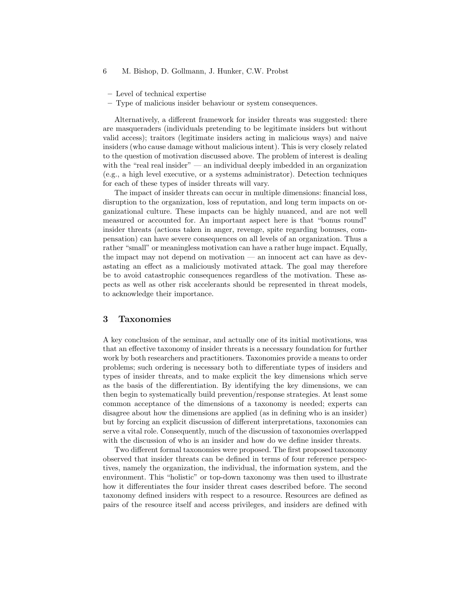- Level of technical expertise
- Type of malicious insider behaviour or system consequences.

Alternatively, a different framework for insider threats was suggested: there are masqueraders (individuals pretending to be legitimate insiders but without valid access); traitors (legitimate insiders acting in malicious ways) and naive insiders (who cause damage without malicious intent). This is very closely related to the question of motivation discussed above. The problem of interest is dealing with the "real real insider" — an individual deeply imbedded in an organization (e.g., a high level executive, or a systems administrator). Detection techniques for each of these types of insider threats will vary.

The impact of insider threats can occur in multiple dimensions: financial loss, disruption to the organization, loss of reputation, and long term impacts on organizational culture. These impacts can be highly nuanced, and are not well measured or accounted for. An important aspect here is that "bonus round" insider threats (actions taken in anger, revenge, spite regarding bonuses, compensation) can have severe consequences on all levels of an organization. Thus a rather "small" or meaningless motivation can have a rather huge impact. Equally, the impact may not depend on motivation — an innocent act can have as devastating an effect as a maliciously motivated attack. The goal may therefore be to avoid catastrophic consequences regardless of the motivation. These aspects as well as other risk accelerants should be represented in threat models, to acknowledge their importance.

# <span id="page-5-0"></span>3 Taxonomies

A key conclusion of the seminar, and actually one of its initial motivations, was that an effective taxonomy of insider threats is a necessary foundation for further work by both researchers and practitioners. Taxonomies provide a means to order problems; such ordering is necessary both to differentiate types of insiders and types of insider threats, and to make explicit the key dimensions which serve as the basis of the differentiation. By identifying the key dimensions, we can then begin to systematically build prevention/response strategies. At least some common acceptance of the dimensions of a taxonomy is needed; experts can disagree about how the dimensions are applied (as in defining who is an insider) but by forcing an explicit discussion of different interpretations, taxonomies can serve a vital role. Consequently, much of the discussion of taxonomies overlapped with the discussion of who is an insider and how do we define insider threats.

Two different formal taxonomies were proposed. The first proposed taxonomy observed that insider threats can be defined in terms of four reference perspectives, namely the organization, the individual, the information system, and the environment. This "holistic" or top-down taxonomy was then used to illustrate how it differentiates the four insider threat cases described before. The second taxonomy defined insiders with respect to a resource. Resources are defined as pairs of the resource itself and access privileges, and insiders are defined with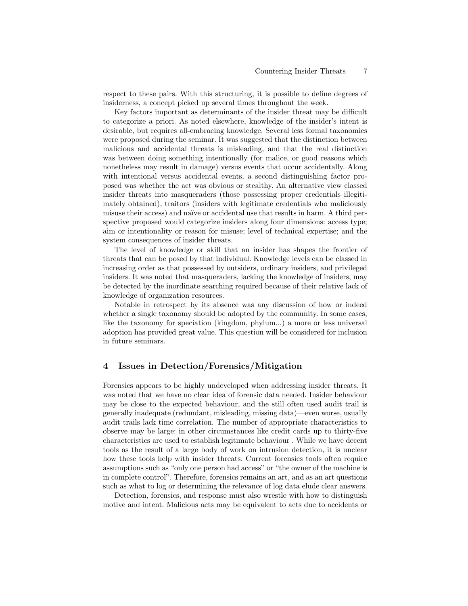respect to these pairs. With this structuring, it is possible to define degrees of insiderness, a concept picked up several times throughout the week.

Key factors important as determinants of the insider threat may be difficult to categorize a priori. As noted elsewhere, knowledge of the insider's intent is desirable, but requires all-embracing knowledge. Several less formal taxonomies were proposed during the seminar. It was suggested that the distinction between malicious and accidental threats is misleading, and that the real distinction was between doing something intentionally (for malice, or good reasons which nonetheless may result in damage) versus events that occur accidentally. Along with intentional versus accidental events, a second distinguishing factor proposed was whether the act was obvious or stealthy. An alternative view classed insider threats into masqueraders (those possessing proper credentials illegitimately obtained), traitors (insiders with legitimate credentials who maliciously misuse their access) and naïve or accidental use that results in harm. A third perspective proposed would categorize insiders along four dimensions: access type; aim or intentionality or reason for misuse; level of technical expertise; and the system consequences of insider threats.

The level of knowledge or skill that an insider has shapes the frontier of threats that can be posed by that individual. Knowledge levels can be classed in increasing order as that possessed by outsiders, ordinary insiders, and privileged insiders. It was noted that masqueraders, lacking the knowledge of insiders, may be detected by the inordinate searching required because of their relative lack of knowledge of organization resources.

Notable in retrospect by its absence was any discussion of how or indeed whether a single taxonomy should be adopted by the community. In some cases, like the taxonomy for speciation (kingdom, phylum...) a more or less universal adoption has provided great value. This question will be considered for inclusion in future seminars.

### 4 Issues in Detection/Forensics/Mitigation

Forensics appears to be highly undeveloped when addressing insider threats. It was noted that we have no clear idea of forensic data needed. Insider behaviour may be close to the expected behaviour, and the still often used audit trail is generally inadequate (redundant, misleading, missing data)—even worse, usually audit trails lack time correlation. The number of appropriate characteristics to observe may be large: in other circumstances like credit cards up to thirty-five characteristics are used to establish legitimate behaviour . While we have decent tools as the result of a large body of work on intrusion detection, it is unclear how these tools help with insider threats. Current forensics tools often require assumptions such as "only one person had access" or "the owner of the machine is in complete control". Therefore, forensics remains an art, and as an art questions such as what to log or determining the relevance of log data elude clear answers.

Detection, forensics, and response must also wrestle with how to distinguish motive and intent. Malicious acts may be equivalent to acts due to accidents or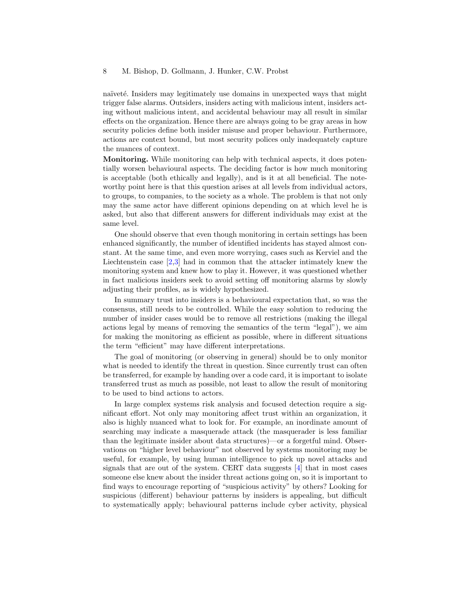naïveté. Insiders may legitimately use domains in unexpected ways that might trigger false alarms. Outsiders, insiders acting with malicious intent, insiders acting without malicious intent, and accidental behaviour may all result in similar effects on the organization. Hence there are always going to be gray areas in how security policies define both insider misuse and proper behaviour. Furthermore, actions are context bound, but most security polices only inadequately capture the nuances of context.

Monitoring. While monitoring can help with technical aspects, it does potentially worsen behavioural aspects. The deciding factor is how much monitoring is acceptable (both ethically and legally), and is it at all beneficial. The noteworthy point here is that this question arises at all levels from individual actors, to groups, to companies, to the society as a whole. The problem is that not only may the same actor have different opinions depending on at which level he is asked, but also that different answers for different individuals may exist at the same level.

One should observe that even though monitoring in certain settings has been enhanced significantly, the number of identified incidents has stayed almost constant. At the same time, and even more worrying, cases such as Kerviel and the Liechtenstein case [\[2](#page-17-1)[,3\]](#page-17-2) had in common that the attacker intimately knew the monitoring system and knew how to play it. However, it was questioned whether in fact malicious insiders seek to avoid setting off monitoring alarms by slowly adjusting their profiles, as is widely hypothesized.

In summary trust into insiders is a behavioural expectation that, so was the consensus, still needs to be controlled. While the easy solution to reducing the number of insider cases would be to remove all restrictions (making the illegal actions legal by means of removing the semantics of the term "legal"), we aim for making the monitoring as efficient as possible, where in different situations the term "efficient" may have different interpretations.

The goal of monitoring (or observing in general) should be to only monitor what is needed to identify the threat in question. Since currently trust can often be transferred, for example by handing over a code card, it is important to isolate transferred trust as much as possible, not least to allow the result of monitoring to be used to bind actions to actors.

In large complex systems risk analysis and focused detection require a significant effort. Not only may monitoring affect trust within an organization, it also is highly nuanced what to look for. For example, an inordinate amount of searching may indicate a masquerade attack (the masquerader is less familiar than the legitimate insider about data structures)—or a forgetful mind. Observations on "higher level behaviour" not observed by systems monitoring may be useful, for example, by using human intelligence to pick up novel attacks and signals that are out of the system. CERT data suggests  $[4]$  that in most cases someone else knew about the insider threat actions going on, so it is important to find ways to encourage reporting of "suspicious activity" by others? Looking for suspicious (different) behaviour patterns by insiders is appealing, but difficult to systematically apply; behavioural patterns include cyber activity, physical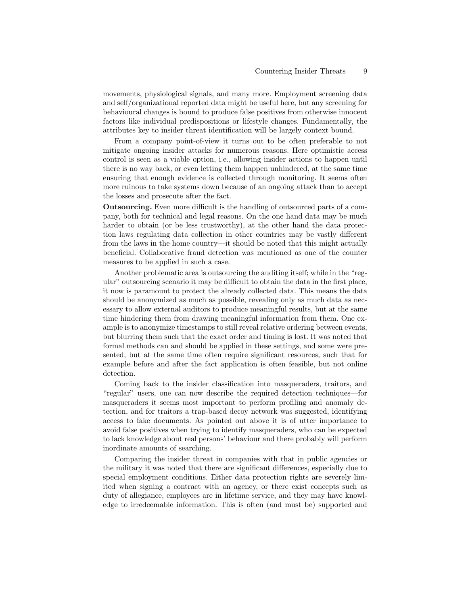movements, physiological signals, and many more. Employment screening data and self/organizational reported data might be useful here, but any screening for behavioural changes is bound to produce false positives from otherwise innocent factors like individual predispositions or lifestyle changes. Fundamentally, the attributes key to insider threat identification will be largely context bound.

From a company point-of-view it turns out to be often preferable to not mitigate ongoing insider attacks for numerous reasons. Here optimistic access control is seen as a viable option, i.e., allowing insider actions to happen until there is no way back, or even letting them happen unhindered, at the same time ensuring that enough evidence is collected through monitoring. It seems often more ruinous to take systems down because of an ongoing attack than to accept the losses and prosecute after the fact.

Outsourcing. Even more difficult is the handling of outsourced parts of a company, both for technical and legal reasons. On the one hand data may be much harder to obtain (or be less trustworthy), at the other hand the data protection laws regulating data collection in other countries may be vastly different from the laws in the home country—it should be noted that this might actually beneficial. Collaborative fraud detection was mentioned as one of the counter measures to be applied in such a case.

Another problematic area is outsourcing the auditing itself; while in the "regular" outsourcing scenario it may be difficult to obtain the data in the first place, it now is paramount to protect the already collected data. This means the data should be anonymized as much as possible, revealing only as much data as necessary to allow external auditors to produce meaningful results, but at the same time hindering them from drawing meaningful information from them. One example is to anonymize timestamps to still reveal relative ordering between events, but blurring them such that the exact order and timing is lost. It was noted that formal methods can and should be applied in these settings, and some were presented, but at the same time often require significant resources, such that for example before and after the fact application is often feasible, but not online detection.

Coming back to the insider classification into masqueraders, traitors, and "regular" users, one can now describe the required detection techniques—for masqueraders it seems most important to perform profiling and anomaly detection, and for traitors a trap-based decoy network was suggested, identifying access to fake documents. As pointed out above it is of utter importance to avoid false positives when trying to identify masqueraders, who can be expected to lack knowledge about real persons' behaviour and there probably will perform inordinate amounts of searching.

Comparing the insider threat in companies with that in public agencies or the military it was noted that there are significant differences, especially due to special employment conditions. Either data protection rights are severely limited when signing a contract with an agency, or there exist concepts such as duty of allegiance, employees are in lifetime service, and they may have knowledge to irredeemable information. This is often (and must be) supported and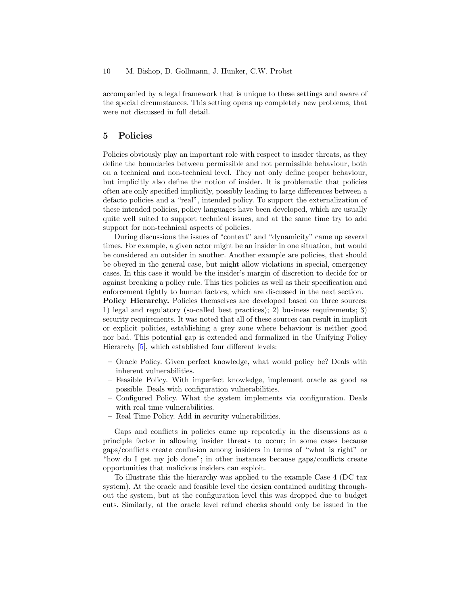accompanied by a legal framework that is unique to these settings and aware of the special circumstances. This setting opens up completely new problems, that were not discussed in full detail.

### 5 Policies

Policies obviously play an important role with respect to insider threats, as they define the boundaries between permissible and not permissible behaviour, both on a technical and non-technical level. They not only define proper behaviour, but implicitly also define the notion of insider. It is problematic that policies often are only specified implicitly, possibly leading to large differences between a defacto policies and a "real", intended policy. To support the externalization of these intended policies, policy languages have been developed, which are usually quite well suited to support technical issues, and at the same time try to add support for non-technical aspects of policies.

During discussions the issues of "context" and "dynamicity" came up several times. For example, a given actor might be an insider in one situation, but would be considered an outsider in another. Another example are policies, that should be obeyed in the general case, but might allow violations in special, emergency cases. In this case it would be the insider's margin of discretion to decide for or against breaking a policy rule. This ties policies as well as their specification and enforcement tightly to human factors, which are discussed in the next section.

Policy Hierarchy. Policies themselves are developed based on three sources: 1) legal and regulatory (so-called best practices); 2) business requirements; 3) security requirements. It was noted that all of these sources can result in implicit or explicit policies, establishing a grey zone where behaviour is neither good nor bad. This potential gap is extended and formalized in the Unifying Policy Hierarchy [\[5\]](#page-17-4), which established four different levels:

- Oracle Policy. Given perfect knowledge, what would policy be? Deals with inherent vulnerabilities.
- Feasible Policy. With imperfect knowledge, implement oracle as good as possible. Deals with configuration vulnerabilities.
- Configured Policy. What the system implements via configuration. Deals with real time vulnerabilities.
- Real Time Policy. Add in security vulnerabilities.

Gaps and conflicts in policies came up repeatedly in the discussions as a principle factor in allowing insider threats to occur; in some cases because gaps/conflicts create confusion among insiders in terms of "what is right" or "how do I get my job done"; in other instances because gaps/conflicts create opportunities that malicious insiders can exploit.

To illustrate this the hierarchy was applied to the example Case 4 (DC tax system). At the oracle and feasible level the design contained auditing throughout the system, but at the configuration level this was dropped due to budget cuts. Similarly, at the oracle level refund checks should only be issued in the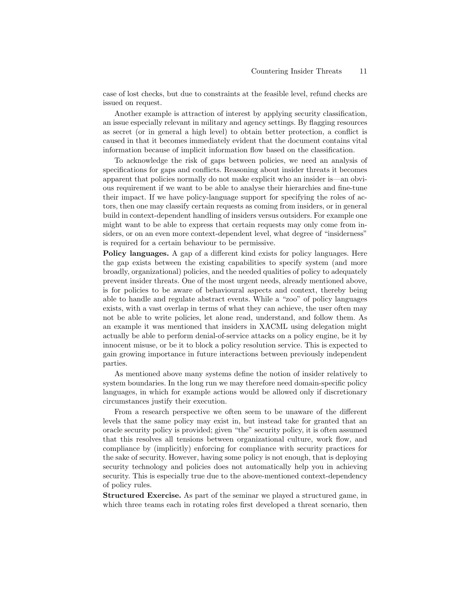case of lost checks, but due to constraints at the feasible level, refund checks are issued on request.

Another example is attraction of interest by applying security classification, an issue especially relevant in military and agency settings. By flagging resources as secret (or in general a high level) to obtain better protection, a conflict is caused in that it becomes immediately evident that the document contains vital information because of implicit information flow based on the classification.

To acknowledge the risk of gaps between policies, we need an analysis of specifications for gaps and conflicts. Reasoning about insider threats it becomes apparent that policies normally do not make explicit who an insider is—an obvious requirement if we want to be able to analyse their hierarchies and fine-tune their impact. If we have policy-language support for specifying the roles of actors, then one may classify certain requests as coming from insiders, or in general build in context-dependent handling of insiders versus outsiders. For example one might want to be able to express that certain requests may only come from insiders, or on an even more context-dependent level, what degree of "insiderness" is required for a certain behaviour to be permissive.

Policy languages. A gap of a different kind exists for policy languages. Here the gap exists between the existing capabilities to specify system (and more broadly, organizational) policies, and the needed qualities of policy to adequately prevent insider threats. One of the most urgent needs, already mentioned above, is for policies to be aware of behavioural aspects and context, thereby being able to handle and regulate abstract events. While a "zoo" of policy languages exists, with a vast overlap in terms of what they can achieve, the user often may not be able to write policies, let alone read, understand, and follow them. As an example it was mentioned that insiders in XACML using delegation might actually be able to perform denial-of-service attacks on a policy engine, be it by innocent misuse, or be it to block a policy resolution service. This is expected to gain growing importance in future interactions between previously independent parties.

As mentioned above many systems define the notion of insider relatively to system boundaries. In the long run we may therefore need domain-specific policy languages, in which for example actions would be allowed only if discretionary circumstances justify their execution.

From a research perspective we often seem to be unaware of the different levels that the same policy may exist in, but instead take for granted that an oracle security policy is provided; given "the" security policy, it is often assumed that this resolves all tensions between organizational culture, work flow, and compliance by (implicitly) enforcing for compliance with security practices for the sake of security. However, having some policy is not enough, that is deploying security technology and policies does not automatically help you in achieving security. This is especially true due to the above-mentioned context-dependency of policy rules.

Structured Exercise. As part of the seminar we played a structured game, in which three teams each in rotating roles first developed a threat scenario, then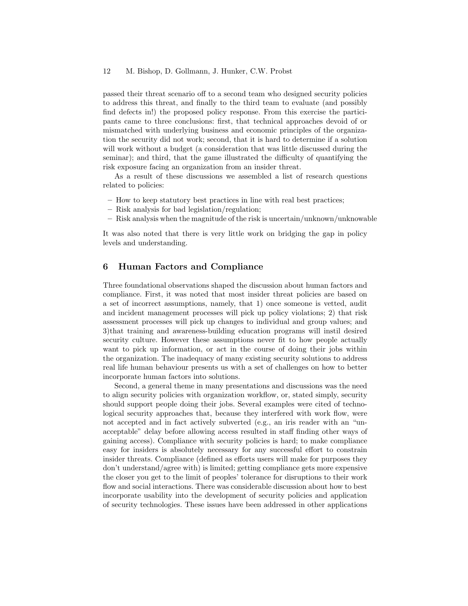passed their threat scenario off to a second team who designed security policies to address this threat, and finally to the third team to evaluate (and possibly find defects in!) the proposed policy response. From this exercise the participants came to three conclusions: first, that technical approaches devoid of or mismatched with underlying business and economic principles of the organization the security did not work; second, that it is hard to determine if a solution will work without a budget (a consideration that was little discussed during the seminar); and third, that the game illustrated the difficulty of quantifying the risk exposure facing an organization from an insider threat.

As a result of these discussions we assembled a list of research questions related to policies:

- How to keep statutory best practices in line with real best practices;
- Risk analysis for bad legislation/regulation;
- Risk analysis when the magnitude of the risk is uncertain/unknown/unknowable

It was also noted that there is very little work on bridging the gap in policy levels and understanding.

# 6 Human Factors and Compliance

Three foundational observations shaped the discussion about human factors and compliance. First, it was noted that most insider threat policies are based on a set of incorrect assumptions, namely, that 1) once someone is vetted, audit and incident management processes will pick up policy violations; 2) that risk assessment processes will pick up changes to individual and group values; and 3)that training and awareness-building education programs will instil desired security culture. However these assumptions never fit to how people actually want to pick up information, or act in the course of doing their jobs within the organization. The inadequacy of many existing security solutions to address real life human behaviour presents us with a set of challenges on how to better incorporate human factors into solutions.

Second, a general theme in many presentations and discussions was the need to align security policies with organization workflow, or, stated simply, security should support people doing their jobs. Several examples were cited of technological security approaches that, because they interfered with work flow, were not accepted and in fact actively subverted (e.g., an iris reader with an "unacceptable" delay before allowing access resulted in staff finding other ways of gaining access). Compliance with security policies is hard; to make compliance easy for insiders is absolutely necessary for any successful effort to constrain insider threats. Compliance (defined as efforts users will make for purposes they don't understand/agree with) is limited; getting compliance gets more expensive the closer you get to the limit of peoples' tolerance for disruptions to their work flow and social interactions. There was considerable discussion about how to best incorporate usability into the development of security policies and application of security technologies. These issues have been addressed in other applications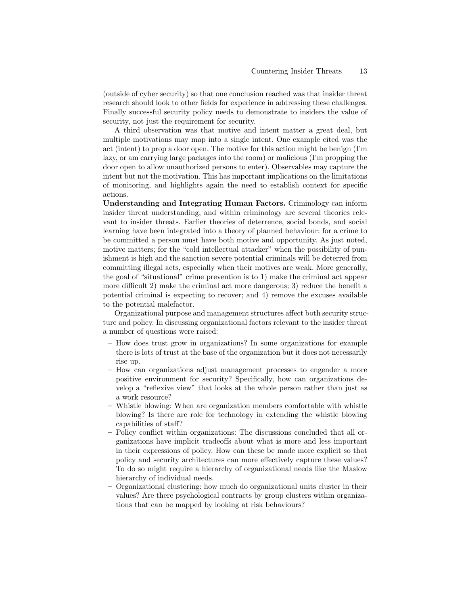(outside of cyber security) so that one conclusion reached was that insider threat research should look to other fields for experience in addressing these challenges. Finally successful security policy needs to demonstrate to insiders the value of security, not just the requirement for security.

A third observation was that motive and intent matter a great deal, but multiple motivations may map into a single intent. One example cited was the act (intent) to prop a door open. The motive for this action might be benign (I'm lazy, or am carrying large packages into the room) or malicious (I'm propping the door open to allow unauthorized persons to enter). Observables may capture the intent but not the motivation. This has important implications on the limitations of monitoring, and highlights again the need to establish context for specific actions.

Understanding and Integrating Human Factors. Criminology can inform insider threat understanding, and within criminology are several theories relevant to insider threats. Earlier theories of deterrence, social bonds, and social learning have been integrated into a theory of planned behaviour: for a crime to be committed a person must have both motive and opportunity. As just noted, motive matters; for the "cold intellectual attacker" when the possibility of punishment is high and the sanction severe potential criminals will be deterred from committing illegal acts, especially when their motives are weak. More generally, the goal of "situational" crime prevention is to 1) make the criminal act appear more difficult 2) make the criminal act more dangerous; 3) reduce the benefit a potential criminal is expecting to recover; and 4) remove the excuses available to the potential malefactor.

Organizational purpose and management structures affect both security structure and policy. In discussing organizational factors relevant to the insider threat a number of questions were raised:

- How does trust grow in organizations? In some organizations for example there is lots of trust at the base of the organization but it does not necessarily rise up.
- How can organizations adjust management processes to engender a more positive environment for security? Specifically, how can organizations develop a "reflexive view" that looks at the whole person rather than just as a work resource?
- Whistle blowing: When are organization members comfortable with whistle blowing? Is there are role for technology in extending the whistle blowing capabilities of staff?
- Policy conflict within organizations: The discussions concluded that all organizations have implicit tradeoffs about what is more and less important in their expressions of policy. How can these be made more explicit so that policy and security architectures can more effectively capture these values? To do so might require a hierarchy of organizational needs like the Maslow hierarchy of individual needs.
- Organizational clustering: how much do organizational units cluster in their values? Are there psychological contracts by group clusters within organizations that can be mapped by looking at risk behaviours?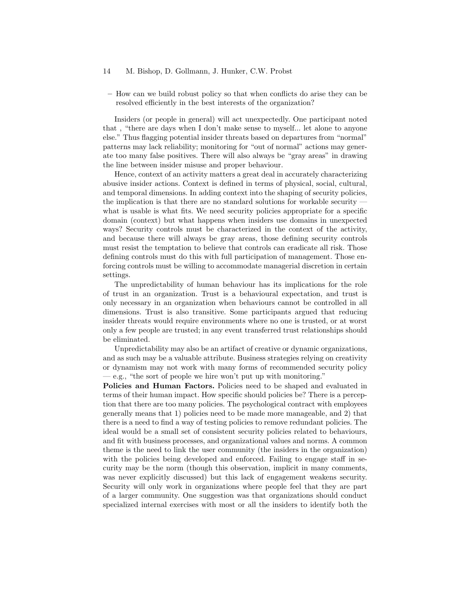– How can we build robust policy so that when conflicts do arise they can be resolved efficiently in the best interests of the organization?

Insiders (or people in general) will act unexpectedly. One participant noted that , "there are days when I don't make sense to myself... let alone to anyone else." Thus flagging potential insider threats based on departures from "normal" patterns may lack reliability; monitoring for "out of normal" actions may generate too many false positives. There will also always be "gray areas" in drawing the line between insider misuse and proper behaviour.

Hence, context of an activity matters a great deal in accurately characterizing abusive insider actions. Context is defined in terms of physical, social, cultural, and temporal dimensions. In adding context into the shaping of security policies, the implication is that there are no standard solutions for workable security what is usable is what fits. We need security policies appropriate for a specific domain (context) but what happens when insiders use domains in unexpected ways? Security controls must be characterized in the context of the activity, and because there will always be gray areas, those defining security controls must resist the temptation to believe that controls can eradicate all risk. Those defining controls must do this with full participation of management. Those enforcing controls must be willing to accommodate managerial discretion in certain settings.

The unpredictability of human behaviour has its implications for the role of trust in an organization. Trust is a behavioural expectation, and trust is only necessary in an organization when behaviours cannot be controlled in all dimensions. Trust is also transitive. Some participants argued that reducing insider threats would require environments where no one is trusted, or at worst only a few people are trusted; in any event transferred trust relationships should be eliminated.

Unpredictability may also be an artifact of creative or dynamic organizations, and as such may be a valuable attribute. Business strategies relying on creativity or dynamism may not work with many forms of recommended security policy — e.g., "the sort of people we hire won't put up with monitoring."

Policies and Human Factors. Policies need to be shaped and evaluated in terms of their human impact. How specific should policies be? There is a perception that there are too many policies. The psychological contract with employees generally means that 1) policies need to be made more manageable, and 2) that there is a need to find a way of testing policies to remove redundant policies. The ideal would be a small set of consistent security policies related to behaviours, and fit with business processes, and organizational values and norms. A common theme is the need to link the user community (the insiders in the organization) with the policies being developed and enforced. Failing to engage staff in security may be the norm (though this observation, implicit in many comments, was never explicitly discussed) but this lack of engagement weakens security. Security will only work in organizations where people feel that they are part of a larger community. One suggestion was that organizations should conduct specialized internal exercises with most or all the insiders to identify both the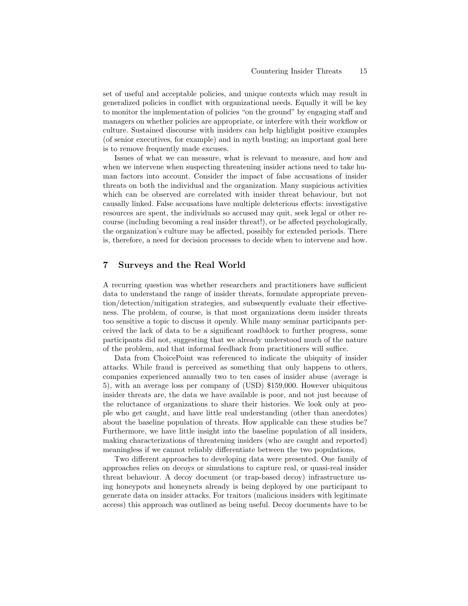set of useful and acceptable policies, and unique contexts which may result in generalized policies in conflict with organizational needs. Equally it will be key to monitor the implementation of policies "on the ground" by engaging staff and managers on whether policies are appropriate, or interfere with their workflow or culture. Sustained discourse with insiders can help highlight positive examples (of senior executives, for example) and in myth busting; an important goal here is to remove frequently made excuses.

Issues of what we can measure, what is relevant to measure, and how and when we intervene when suspecting threatening insider actions need to take human factors into account. Consider the impact of false accusations of insider threats on both the individual and the organization. Many suspicious activities which can be observed are correlated with insider threat behaviour, but not causally linked. False accusations have multiple deleterious effects: investigative resources are spent, the individuals so accused may quit, seek legal or other recourse (including becoming a real insider threat!), or be affected psychologically, the organization's culture may be affected, possibly for extended periods. There is, therefore, a need for decision processes to decide when to intervene and how.

# 7 Surveys and the Real World

A recurring question was whether researchers and practitioners have sufficient data to understand the range of insider threats, formulate appropriate prevention/detection/mitigation strategies, and subsequently evaluate their effectiveness. The problem, of course, is that most organizations deem insider threats too sensitive a topic to discuss it openly. While many seminar participants perceived the lack of data to be a significant roadblock to further progress, some participants did not, suggesting that we already understood much of the nature of the problem, and that informal feedback from practitioners will suffice.

Data from ChoicePoint was referenced to indicate the ubiquity of insider attacks. While fraud is perceived as something that only happens to others, companies experienced annually two to ten cases of insider abuse (average is 5), with an average loss per company of (USD) \$159,000. However ubiquitous insider threats are, the data we have available is poor, and not just because of the reluctance of organizations to share their histories. We look only at people who get caught, and have little real understanding (other than anecdotes) about the baseline population of threats. How applicable can these studies be? Furthermore, we have little insight into the baseline population of all insiders, making characterizations of threatening insiders (who are caught and reported) meaningless if we cannot reliably differentiate between the two populations.

Two different approaches to developing data were presented. One family of approaches relies on decoys or simulations to capture real, or quasi-real insider threat behaviour. A decoy document (or trap-based decoy) infrastructure using honeypots and honeynets already is being deployed by one participant to generate data on insider attacks. For traitors (malicious insiders with legitimate access) this approach was outlined as being useful. Decoy documents have to be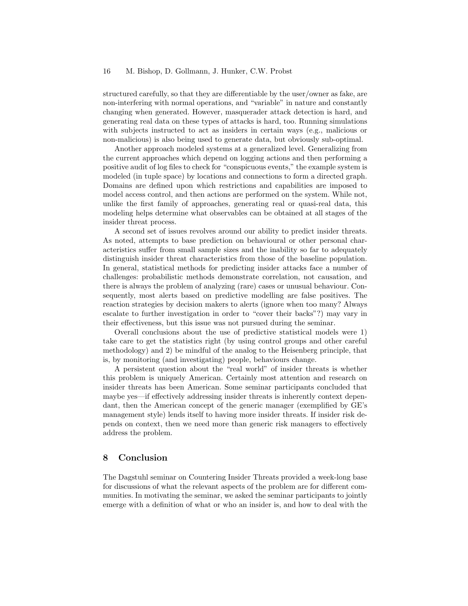structured carefully, so that they are differentiable by the user/owner as fake, are non-interfering with normal operations, and "variable" in nature and constantly changing when generated. However, masquerader attack detection is hard, and generating real data on these types of attacks is hard, too. Running simulations with subjects instructed to act as insiders in certain ways (e.g., malicious or non-malicious) is also being used to generate data, but obviously sub-optimal.

Another approach modeled systems at a generalized level. Generalizing from the current approaches which depend on logging actions and then performing a positive audit of log files to check for "conspicuous events," the example system is modeled (in tuple space) by locations and connections to form a directed graph. Domains are defined upon which restrictions and capabilities are imposed to model access control, and then actions are performed on the system. While not, unlike the first family of approaches, generating real or quasi-real data, this modeling helps determine what observables can be obtained at all stages of the insider threat process.

A second set of issues revolves around our ability to predict insider threats. As noted, attempts to base prediction on behavioural or other personal characteristics suffer from small sample sizes and the inability so far to adequately distinguish insider threat characteristics from those of the baseline population. In general, statistical methods for predicting insider attacks face a number of challenges: probabilistic methods demonstrate correlation, not causation, and there is always the problem of analyzing (rare) cases or unusual behaviour. Consequently, most alerts based on predictive modelling are false positives. The reaction strategies by decision makers to alerts (ignore when too many? Always escalate to further investigation in order to "cover their backs"?) may vary in their effectiveness, but this issue was not pursued during the seminar.

Overall conclusions about the use of predictive statistical models were 1) take care to get the statistics right (by using control groups and other careful methodology) and 2) be mindful of the analog to the Heisenberg principle, that is, by monitoring (and investigating) people, behaviours change.

A persistent question about the "real world" of insider threats is whether this problem is uniquely American. Certainly most attention and research on insider threats has been American. Some seminar participants concluded that maybe yes—if effectively addressing insider threats is inherently context dependant, then the American concept of the generic manager (exemplified by GE's management style) lends itself to having more insider threats. If insider risk depends on context, then we need more than generic risk managers to effectively address the problem.

### 8 Conclusion

The Dagstuhl seminar on Countering Insider Threats provided a week-long base for discussions of what the relevant aspects of the problem are for different communities. In motivating the seminar, we asked the seminar participants to jointly emerge with a definition of what or who an insider is, and how to deal with the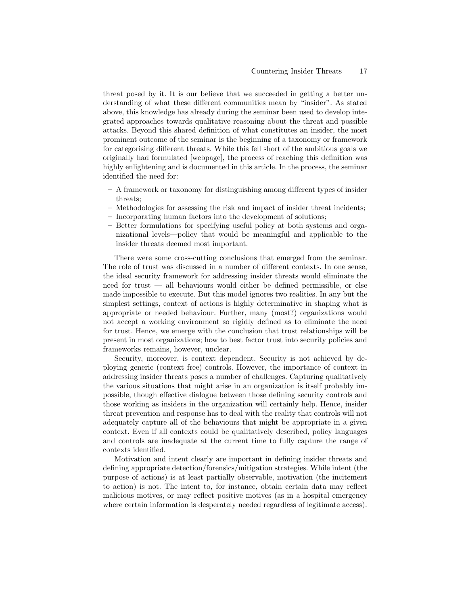threat posed by it. It is our believe that we succeeded in getting a better understanding of what these different communities mean by "insider". As stated above, this knowledge has already during the seminar been used to develop integrated approaches towards qualitative reasoning about the threat and possible attacks. Beyond this shared definition of what constitutes an insider, the most prominent outcome of the seminar is the beginning of a taxonomy or framework for categorising different threats. While this fell short of the ambitious goals we originally had formulated [webpage], the process of reaching this definition was highly enlightening and is documented in this article. In the process, the seminar identified the need for:

- A framework or taxonomy for distinguishing among different types of insider threats;
- Methodologies for assessing the risk and impact of insider threat incidents;
- Incorporating human factors into the development of solutions;
- Better formulations for specifying useful policy at both systems and organizational levels—policy that would be meaningful and applicable to the insider threats deemed most important.

There were some cross-cutting conclusions that emerged from the seminar. The role of trust was discussed in a number of different contexts. In one sense, the ideal security framework for addressing insider threats would eliminate the need for trust — all behaviours would either be defined permissible, or else made impossible to execute. But this model ignores two realities. In any but the simplest settings, context of actions is highly determinative in shaping what is appropriate or needed behaviour. Further, many (most?) organizations would not accept a working environment so rigidly defined as to eliminate the need for trust. Hence, we emerge with the conclusion that trust relationships will be present in most organizations; how to best factor trust into security policies and frameworks remains, however, unclear.

Security, moreover, is context dependent. Security is not achieved by deploying generic (context free) controls. However, the importance of context in addressing insider threats poses a number of challenges. Capturing qualitatively the various situations that might arise in an organization is itself probably impossible, though effective dialogue between those defining security controls and those working as insiders in the organization will certainly help. Hence, insider threat prevention and response has to deal with the reality that controls will not adequately capture all of the behaviours that might be appropriate in a given context. Even if all contexts could be qualitatively described, policy languages and controls are inadequate at the current time to fully capture the range of contexts identified.

Motivation and intent clearly are important in defining insider threats and defining appropriate detection/forensics/mitigation strategies. While intent (the purpose of actions) is at least partially observable, motivation (the incitement to action) is not. The intent to, for instance, obtain certain data may reflect malicious motives, or may reflect positive motives (as in a hospital emergency where certain information is desperately needed regardless of legitimate access).